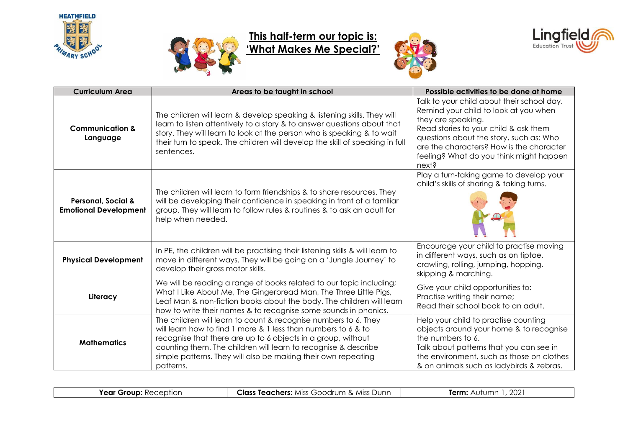



## **This half-term our topic is: 'What Makes Me Special?'**





| <b>Curriculum Area</b>                                        | Areas to be taught in school                                                                                                                                                                                                                                                                                                                     | Possible activities to be done at home                                                                                                                                                                                                                                                        |
|---------------------------------------------------------------|--------------------------------------------------------------------------------------------------------------------------------------------------------------------------------------------------------------------------------------------------------------------------------------------------------------------------------------------------|-----------------------------------------------------------------------------------------------------------------------------------------------------------------------------------------------------------------------------------------------------------------------------------------------|
| <b>Communication &amp;</b><br>Language                        | The children will learn & develop speaking & listening skills. They will<br>learn to listen attentively to a story & to answer questions about that<br>story. They will learn to look at the person who is speaking & to wait<br>their turn to speak. The children will develop the skill of speaking in full<br>sentences.                      | Talk to your child about their school day.<br>Remind your child to look at you when<br>they are speaking.<br>Read stories to your child & ask them<br>questions about the story, such as: Who<br>are the characters? How is the character<br>feeling? What do you think might happen<br>next? |
| <b>Personal, Social &amp;</b><br><b>Emotional Development</b> | The children will learn to form friendships & to share resources. They<br>will be developing their confidence in speaking in front of a familiar<br>group. They will learn to follow rules & routines & to ask an adult for<br>help when needed.                                                                                                 | Play a turn-taking game to develop your<br>child's skills of sharing & taking turns.                                                                                                                                                                                                          |
| <b>Physical Development</b>                                   | In PE, the children will be practising their listening skills & will learn to<br>move in different ways. They will be going on a 'Jungle Journey' to<br>develop their gross motor skills.                                                                                                                                                        | Encourage your child to practise moving<br>in different ways, such as on tiptoe,<br>crawling, rolling, jumping, hopping,<br>skipping & marching.                                                                                                                                              |
| Literacy                                                      | We will be reading a range of books related to our topic including;<br>What I Like About Me, The Gingerbread Man, The Three Little Pigs,<br>Leaf Man & non-fiction books about the body. The children will learn<br>how to write their names & to recognise some sounds in phonics.                                                              | Give your child opportunities to:<br>Practise writing their name;<br>Read their school book to an adult.                                                                                                                                                                                      |
| <b>Mathematics</b>                                            | The children will learn to count & recognise numbers to 6. They<br>will learn how to find 1 more & 1 less than numbers to 6 & to<br>recognise that there are up to 6 objects in a group, without<br>counting them. The children will learn to recognise & describe<br>simple patterns. They will also be making their own repeating<br>patterns. | Help your child to practise counting<br>objects around your home & to recognise<br>the numbers to 6.<br>Talk about patterns that you can see in<br>the environment, such as those on clothes<br>& on animals such as ladybirds & zebras.                                                      |

**Year Group:** Reception **Class Teachers:** Miss Goodrum & Miss Dunn **Term:** Autumn 1, 2021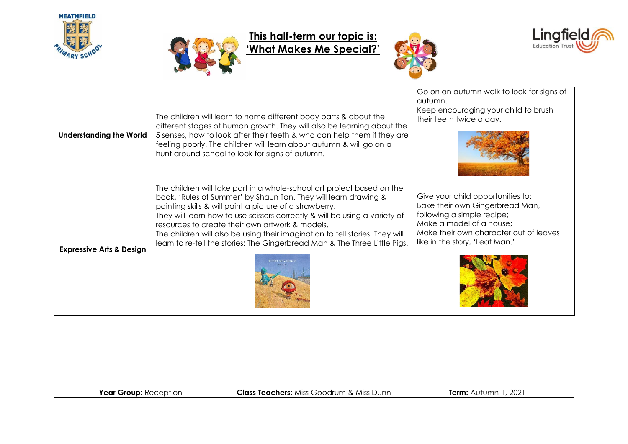



## **This half-term our topic is: 'What Makes Me Special?'**





| <b>Understanding the World</b>      | The children will learn to name different body parts & about the<br>different stages of human growth. They will also be learning about the<br>5 senses, how to look after their teeth & who can help them if they are<br>feeling poorly. The children will learn about autumn & will go on a<br>hunt around school to look for signs of autumn.                                                                                                                                                     | Go on an autumn walk to look for signs of<br>autumn.<br>Keep encouraging your child to brush<br>their teeth twice a day.                                                                                   |
|-------------------------------------|-----------------------------------------------------------------------------------------------------------------------------------------------------------------------------------------------------------------------------------------------------------------------------------------------------------------------------------------------------------------------------------------------------------------------------------------------------------------------------------------------------|------------------------------------------------------------------------------------------------------------------------------------------------------------------------------------------------------------|
| <b>Expressive Arts &amp; Design</b> | The children will take part in a whole-school art project based on the<br>book, 'Rules of Summer' by Shaun Tan. They will learn drawing &<br>painting skills & will paint a picture of a strawberry.<br>They will learn how to use scissors correctly & will be using a variety of<br>resources to create their own artwork & models.<br>The children will also be using their imagination to tell stories. They will<br>learn to re-tell the stories: The Gingerbread Man & The Three Little Pigs. | Give your child opportunities to:<br>Bake their own Gingerbread Man,<br>following a simple recipe;<br>Make a model of a house;<br>Make their own character out of leaves<br>like in the story, 'Leaf Man.' |

| Vaar<br>otior<br>or | chers:<br>Jαss<br>Junn<br>$\sim$<br>∼<br>$~\cdot$ MISC $~\cdot$<br>$-\cap -$<br>1000<br>.<br>$\cdots$ | റററ<br>lern<br>- 92 |
|---------------------|-------------------------------------------------------------------------------------------------------|---------------------|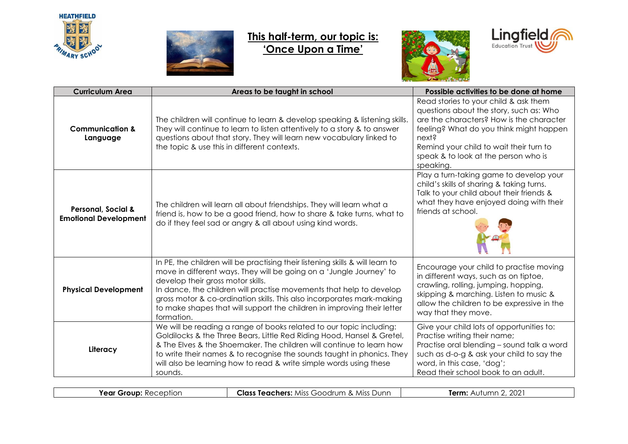



## **This half-term, our topic is: 'Once Upon a Time'**





| <b>Curriculum Area</b>                                        | Areas to be taught in school                                                                                                                                                                                                                                                                                                                                                                                                        | Possible activities to be done at home                                                                                                                                                                                                                                           |
|---------------------------------------------------------------|-------------------------------------------------------------------------------------------------------------------------------------------------------------------------------------------------------------------------------------------------------------------------------------------------------------------------------------------------------------------------------------------------------------------------------------|----------------------------------------------------------------------------------------------------------------------------------------------------------------------------------------------------------------------------------------------------------------------------------|
| <b>Communication &amp;</b><br>Language                        | The children will continue to learn & develop speaking & listening skills.<br>They will continue to learn to listen attentively to a story & to answer<br>questions about that story. They will learn new vocabulary linked to<br>the topic & use this in different contexts.                                                                                                                                                       | Read stories to your child & ask them<br>questions about the story, such as: Who<br>are the characters? How is the character<br>feeling? What do you think might happen<br>next?<br>Remind your child to wait their turn to<br>speak & to look at the person who is<br>speaking. |
| <b>Personal, Social &amp;</b><br><b>Emotional Development</b> | The children will learn all about friendships. They will learn what a<br>friend is, how to be a good friend, how to share & take turns, what to<br>do if they feel sad or angry & all about using kind words.                                                                                                                                                                                                                       | Play a turn-taking game to develop your<br>child's skills of sharing & taking turns.<br>Talk to your child about their friends &<br>what they have enjoyed doing with their<br>friends at school.                                                                                |
| <b>Physical Development</b>                                   | In PE, the children will be practising their listening skills & will learn to<br>move in different ways. They will be going on a 'Jungle Journey' to<br>develop their gross motor skills.<br>In dance, the children will practise movements that help to develop<br>gross motor & co-ordination skills. This also incorporates mark-making<br>to make shapes that will support the children in improving their letter<br>formation. | Encourage your child to practise moving<br>in different ways, such as on tiptoe,<br>crawling, rolling, jumping, hopping,<br>skipping & marching. Listen to music &<br>allow the children to be expressive in the<br>way that they move.                                          |
| Literacy                                                      | We will be reading a range of books related to our topic including:<br>Goldilocks & the Three Bears, Little Red Riding Hood, Hansel & Gretel,<br>& The Elves & the Shoemaker. The children will continue to learn how<br>to write their names & to recognise the sounds taught in phonics. They<br>will also be learning how to read & write simple words using these<br>sounds.                                                    | Give your child lots of opportunities to:<br>Practise writing their name;<br>Practise oral blending - sound talk a word<br>such as d-o-g & ask your child to say the<br>word, in this case, 'dog';<br>Read their school book to an adult.                                        |

| .<br>. еп.<br>9UR.<br><i>.,</i> ,,,,,,,<br>$\sim$ $\sim$ | Dunr<br><b>MISS</b><br><b>Turc</b><br>רו וזור<br>$\sim$<br>:ners<br><b>AAIS</b><br>. | nnn<br>Tarm<br>$\sim$<br>ZUZ<br>$\overline{\phantom{0}}$ |
|----------------------------------------------------------|--------------------------------------------------------------------------------------|----------------------------------------------------------|